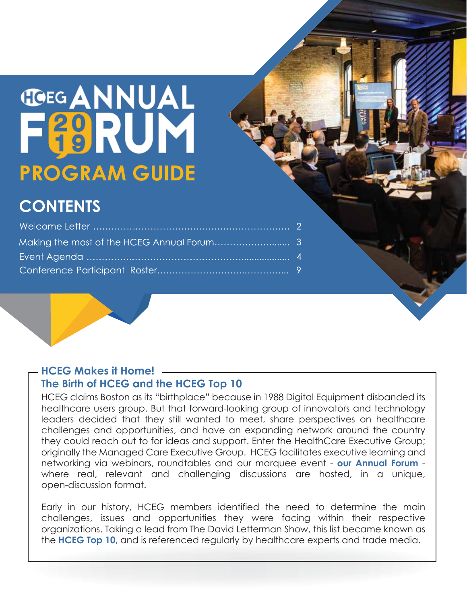# **TOEG ANNUAL** F89RUM **PROGRAM GUIDE**

## **CONTENTS**

### **HCEG Makes it Home! The Birth of HCEG and the HCEG Top 10**

networking via webinars, roundtables and our marquee event - **our Annual Forum** -HCEG claims Boston as its "birthplace" because in 1988 Digital Equipment disbanded its healthcare users group. But that forward-looking group of innovators and technology leaders decided that they still wanted to meet, share perspectives on healthcare challenges and opportunities, and have an expanding network around the country they could reach out to for ideas and support. Enter the HealthCare Executive Group; originally the Managed Care Executive Group. HCEG facilitates executive learning and where real, relevant and challenging discussions are hosted, in a unique, open-discussion format.

the HCEG Top 10, and is referenced regularly by healthcare experts and trade media. Early in our history, HCEG members identified the need to determine the main challenges, issues and opportunities they were facing within their respective organizations. Taking a lead from The David Letterman Show, this list became known as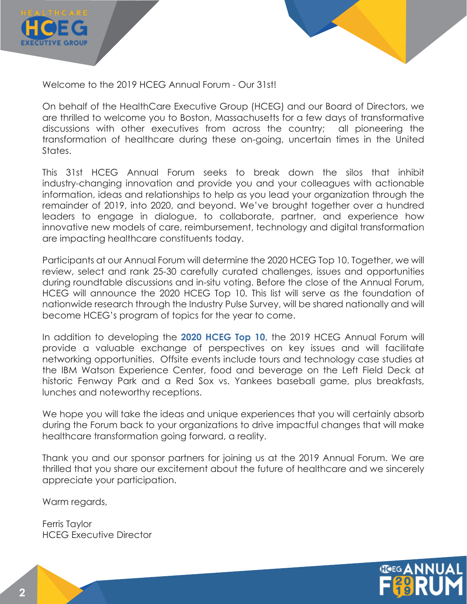

Welcome to the 2019 HCEG Annual Forum - Our 31st!

On behalf of the HealthCare Executive Group (HCEG) and our Board of Directors, we are thrilled to welcome you to Boston, Massachusetts for a few days of transformative discussions with other executives from across the country; all pioneering the transformation of healthcare during these on-going, uncertain times in the United States.

This 31st HCEG Annual Forum seeks to break down the silos that inhibit industry-changing innovation and provide you and your colleagues with actionable information, ideas and relationships to help as you lead your organization through the remainder of 2019, into 2020, and beyond. We've brought together over a hundred leaders to engage in dialogue, to collaborate, partner, and experience how innovative new models of care, reimbursement, technology and digital transformation are impacting healthcare constituents today.

Participants at our Annual Forum will determine the 2020 HCEG Top 10. Together, we will review, select and rank 25-30 carefully curated challenges, issues and opportunities during roundtable discussions and in-situ voting. Before the close of the Annual Forum, HCEG will announce the 2020 HCEG Top 10. This list will serve as the foundation of nationwide research through the Industry Pulse Survey, will be shared nationally and will become HCEG's program of topics for the year to come.

In addition to developing the 2020 HCEG Top 10, the 2019 HCEG Annual Forum will provide a valuable exchange of perspectives on key issues and will facilitate networking opportunities. Offsite events include tours and technology case studies at the IBM Watson Experience Center, food and beverage on the Left Field Deck at historic Fenway Park and a Red Sox vs. Yankees baseball game, plus breakfasts, lunches and noteworthy receptions.

We hope you will take the ideas and unique experiences that you will certainly absorb during the Forum back to your organizations to drive impactful changes that will make healthcare transformation going forward, a reality.

Thank you and our sponsor partners for joining us at the 2019 Annual Forum. We are thrilled that you share our excitement about the future of healthcare and we sincerely appreciate your participation.

Warm regards,

Ferris Taylor HCEG Executive Director

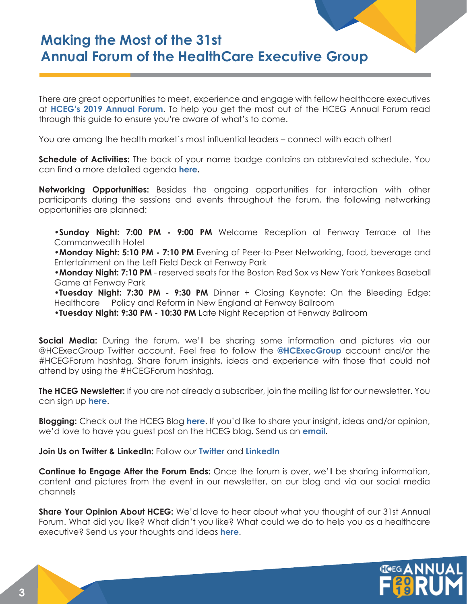### **Making the Most of the 31st Annual Forum of the HealthCare Executive Group**

at HCEG's 2019 Annual Forum. To help you get the most out of the HCEG Annual Forum read There are great opportunities to meet, experience and engage with fellow healthcare executives through this guide to ensure you're aware of what's to come.

You are among the health market's most influential leaders – connect with each other!

can find a more detailed agenda **here.**  $\overline{\phantom{a}}$ **Schedule of Activities:** The back of your name badge contains an abbreviated schedule. You

**Networking Opportunities:** Besides the ongoing opportunities for interaction with other participants during the sessions and events throughout the forum, the following networking opportunities are planned:

**•Sunday Night: 7:00 PM - 9:00 PM** Welcome Reception at Fenway Terrace at the Commonwealth Hotel

**•Monday Night: 5:10 PM - 7:10 PM** Evening of Peer-to-Peer Networking, food, beverage and Entertainment on the Left Field Deck at Fenway Park

**•Monday Night: 7:10 PM** - reserved seats for the Boston Red Sox vs New York Yankees Baseball Game at Fenway Park

**•Tuesday Night: 7:30 PM - 9:30 PM** Dinner + Closing Keynote: On the Bleeding Edge: Healthcare Policy and Reform in New England at Fenway Ballroom

•**Tuesday Night: 9:30 PM - 10:30 PM** Late Night Reception at Fenway Ballroom

@HCExecGroup Twitter account. Feel free to follow the **@HCExecGroup** account and/or the **Social Media:** During the forum, we'll be sharing some information and pictures via our #HCEGForum hashtag. Share forum insights, ideas and experience with those that could not attend by using the #HCEGForum hashtag.

can sign up **here**. **The HCEG Newsletter:** If you are not already a subscriber, join the mailing list for our newsletter. You

**Blogging:** Check out the HCEG Blog here. If you'd like to share your insight, ideas and/or opinion, we'd love to have you guest post on the HCEG blog. Send us an **email**.

**Join Us on Twitter & LinkedIn:** Follow our **Twitter** and **LinkedIn** 

**Continue to Engage After the Forum Ends:** Once the forum is over, we'll be sharing information, content and pictures from the event in our newsletter, on our blog and via our social media channels

**mailto:info@hceg.org** executive? Send us your thoughts and ideas **here**. **Share Your Opinion About HCEG:** We'd love to hear about what you thought of our 31st Annual Forum. What did you like? What didn't you like? What could we do to help you as a healthcare

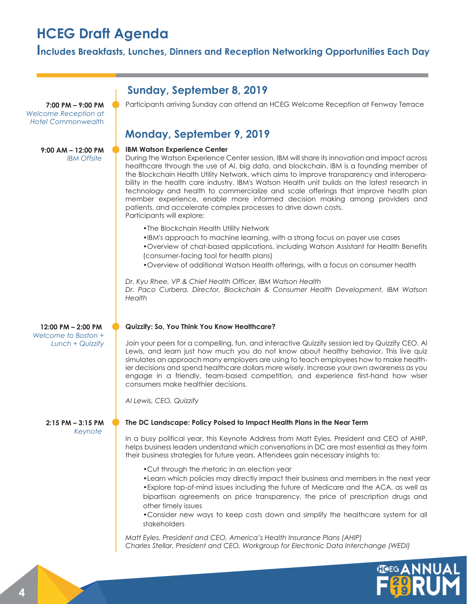### **HCEG Draft Agenda**

#### **Includes Breakfasts, Lunches, Dinners and Reception Networking Opportunities Each Day**

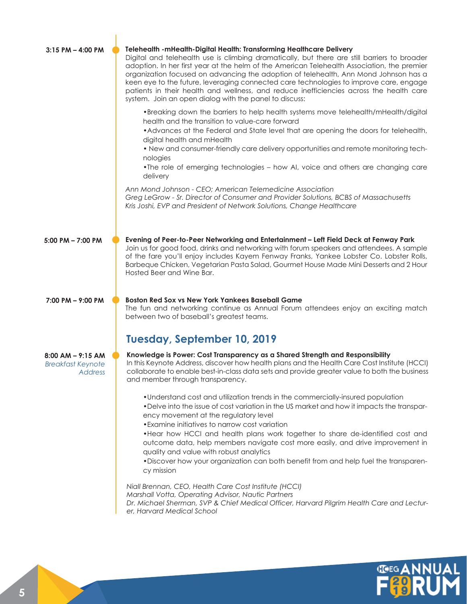| $3:15$ PM $-$ 4:00 PM                                        | Telehealth - mHealth-Digital Health: Transforming Healthcare Delivery<br>Digital and telehealth use is climbing dramatically, but there are still barriers to broader<br>adoption. In her first year at the helm of the American Telehealth Association, the premier<br>organization focused on advancing the adoption of telehealth, Ann Mond Johnson has a<br>keen eye to the future, leveraging connected care technologies to improve care, engage<br>patients in their health and wellness, and reduce inefficiencies across the health care<br>system. Join an open dialog with the panel to discuss: |
|--------------------------------------------------------------|-------------------------------------------------------------------------------------------------------------------------------------------------------------------------------------------------------------------------------------------------------------------------------------------------------------------------------------------------------------------------------------------------------------------------------------------------------------------------------------------------------------------------------------------------------------------------------------------------------------|
|                                                              | •Breaking down the barriers to help health systems move telehealth/mHealth/digital<br>health and the transition to value-care forward<br>• Advances at the Federal and State level that are opening the doors for telehealth,<br>digital health and mHealth<br>• New and consumer-friendly care delivery opportunities and remote monitoring tech-<br>nologies<br>. The role of emerging technologies - how AI, voice and others are changing care<br>delivery                                                                                                                                              |
|                                                              | Ann Mond Johnson - CEO; American Telemedicine Association<br>Greg LeGrow - Sr. Director of Consumer and Provider Solutions, BCBS of Massachusetts<br>Kris Joshi, EVP and President of Network Solutions, Change Healthcare                                                                                                                                                                                                                                                                                                                                                                                  |
| $5:00$ PM $- 7:00$ PM                                        | Evening of Peer-to-Peer Networking and Entertainment - Left Field Deck at Fenway Park<br>Join us for good food, drinks and networking with forum speakers and attendees. A sample<br>of the fare you'll enjoy includes Kayem Fenway Franks, Yankee Lobster Co. Lobster Rolls,<br>Barbeque Chicken, Vegetarian Pasta Salad, Gourmet House Made Mini Desserts and 2 Hour<br>Hosted Beer and Wine Bar.                                                                                                                                                                                                         |
| $7:00$ PM $-$ 9:00 PM                                        | <b>Boston Red Sox vs New York Yankees Baseball Game</b><br>The fun and networking continue as Annual Forum attendees enjoy an exciting match<br>between two of baseball's greatest teams.                                                                                                                                                                                                                                                                                                                                                                                                                   |
|                                                              | Tuesday, September 10, 2019                                                                                                                                                                                                                                                                                                                                                                                                                                                                                                                                                                                 |
| $8:00$ AM $-$ 9:15 AM<br><b>Breakfast Keynote</b><br>Address | Knowledge is Power: Cost Transparency as a Shared Strength and Responsibility<br>In this Keynote Address, discover how health plans and the Health Care Cost Institute (HCCI)<br>collaborate to enable best-in-class data sets and provide greater value to both the business<br>and member through transparency.                                                                                                                                                                                                                                                                                           |
|                                                              | . Understand cost and utilization trends in the commercially-insured population<br>. Delve into the issue of cost variation in the US market and how it impacts the transpar-<br>ency movement at the regulatory level<br>• Examine initiatives to narrow cost variation<br>• Hear how HCCI and health plans work together to share de-identified cost and<br>outcome data, help members navigate cost more easily, and drive improvement in<br>quality and value with robust analytics<br>. Discover how your organization can both benefit from and help fuel the transparen-<br>cy mission               |
|                                                              | Niall Brennan, CEO, Health Care Cost Institute (HCCI)<br>Marshall Votta, Operating Advisor, Nautic Partners<br>Dr. Michael Sherman, SVP & Chief Medical Officer, Harvard Pilgrim Health Care and Lectur-<br>er, Harvard Medical School                                                                                                                                                                                                                                                                                                                                                                      |

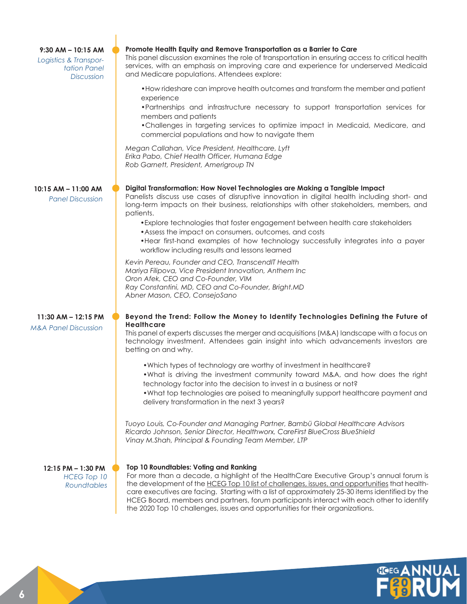| $9:30$ AM $-$ 10:15 AM<br>Logistics & Transpor-<br>tation Panel<br><b>Discussion</b> | Promote Health Equity and Remove Transportation as a Barrier to Care<br>This panel discussion examines the role of transportation in ensuring access to critical health<br>services, with an emphasis on improving care and experience for underserved Medicaid<br>and Medicare populations. Attendees explore:                                                                                                                                                                                                     |
|--------------------------------------------------------------------------------------|---------------------------------------------------------------------------------------------------------------------------------------------------------------------------------------------------------------------------------------------------------------------------------------------------------------------------------------------------------------------------------------------------------------------------------------------------------------------------------------------------------------------|
|                                                                                      | • How rideshare can improve health outcomes and transform the member and patient<br>experience<br>•Partnerships and infrastructure necessary to support transportation services for                                                                                                                                                                                                                                                                                                                                 |
|                                                                                      | members and patients<br>• Challenges in targeting services to optimize impact in Medicaid, Medicare, and<br>commercial populations and how to navigate them                                                                                                                                                                                                                                                                                                                                                         |
|                                                                                      | Megan Callahan, Vice President, Healthcare, Lyft<br>Erika Pabo, Chief Health Officer, Humana Edge<br>Rob Garnett, President, Amerigroup TN                                                                                                                                                                                                                                                                                                                                                                          |
| 10:15 AM - 11:00 AM<br><b>Panel Discussion</b>                                       | Digital Transformation: How Novel Technologies are Making a Tangible Impact<br>Panelists discuss use cases of disruptive innovation in digital health including short- and<br>long-term impacts on their business, relationships with other stakeholders, members, and<br>patients.                                                                                                                                                                                                                                 |
|                                                                                      | • Explore technologies that foster engagement between health care stakeholders<br>• Assess the impact on consumers, outcomes, and costs<br>• Hear first-hand examples of how technology successfully integrates into a payer<br>workflow including results and lessons learned                                                                                                                                                                                                                                      |
|                                                                                      | Kevin Pereau, Founder and CEO, TranscendIT Health<br>Mariya Filipova, Vice President Innovation, Anthem Inc<br>Oron Afek, CEO and Co-Founder, VIM<br>Ray Constantini, MD, CEO and Co-Founder, Bright.MD<br>Abner Mason, CEO, ConsejoSano                                                                                                                                                                                                                                                                            |
| 11:30 AM - 12:15 PM                                                                  | Beyond the Trend: Follow the Money to Identify Technologies Defining the Future of                                                                                                                                                                                                                                                                                                                                                                                                                                  |
| <b>M&amp;A Panel Discussion</b>                                                      | <b>Healthcare</b><br>This panel of experts discusses the merger and acquisitions (M&A) landscape with a focus on<br>technology investment. Attendees gain insight into which advancements investors are<br>betting on and why.                                                                                                                                                                                                                                                                                      |
|                                                                                      | . Which types of technology are worthy of investment in healthcare?<br>. What is driving the investment community toward M&A, and how does the right<br>technology factor into the decision to invest in a business or not?<br>• What top technologies are poised to meaningfully support healthcare payment and<br>delivery transformation in the next 3 years?                                                                                                                                                    |
|                                                                                      | Tuoyo Louis, Co-Founder and Managing Partner, Bambü Global Healthcare Advisors<br>Ricardo Johnson, Senior Director, Healthworx, CareFirst BlueCross BlueShield<br>Vinay M.Shah, Principal & Founding Team Member, LTP                                                                                                                                                                                                                                                                                               |
| 12:15 PM - 1:30 PM<br><b>HCEG Top 10</b><br><b>Roundtables</b>                       | Top 10 Roundtables: Voting and Ranking<br>For more than a decade, a highlight of the HealthCare Executive Group's annual forum is<br>the development of the HCEG Top 10 list of challenges, issues, and opportunities that health-<br>care executives are facing. Starting with a list of approximately 25-30 items identified by the<br>HCEG Board, members and partners, forum participants interact with each other to identify<br>the 2020 Top 10 challenges, issues and opportunities for their organizations. |

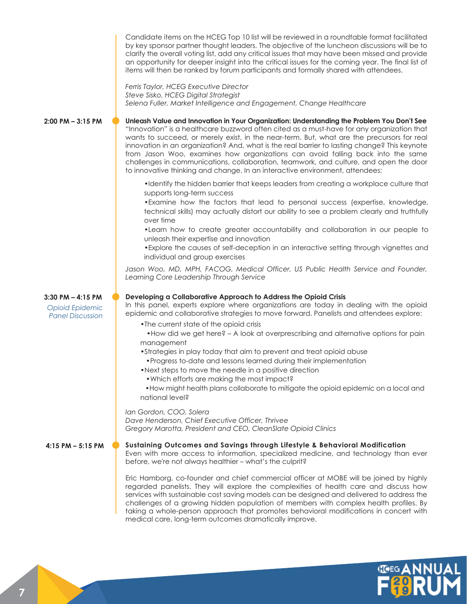|                                                                            | Candidate items on the HCEG Top 10 list will be reviewed in a roundtable format facilitated<br>by key sponsor partner thought leaders. The objective of the luncheon discussions will be to<br>clarify the overall voting list, add any critical issues that may have been missed and provide<br>an opportunity for deeper insight into the critical issues for the coming year. The final list of<br>items will then be ranked by forum participants and formally shared with attendees.                                                                                                                                                                                                                                                                                  |
|----------------------------------------------------------------------------|----------------------------------------------------------------------------------------------------------------------------------------------------------------------------------------------------------------------------------------------------------------------------------------------------------------------------------------------------------------------------------------------------------------------------------------------------------------------------------------------------------------------------------------------------------------------------------------------------------------------------------------------------------------------------------------------------------------------------------------------------------------------------|
|                                                                            | Ferris Taylor, HCEG Executive Director<br>Steve Sisko, HCEG Digital Strategist<br>Selena Fuller, Market Intelligence and Engagement, Change Healthcare                                                                                                                                                                                                                                                                                                                                                                                                                                                                                                                                                                                                                     |
| 2:00 PM - 3:15 PM                                                          | Unleash Value and Innovation in Your Organization: Understanding the Problem You Don't See<br>"Innovation" is a healthcare buzzword often cited as a must-have for any organization that<br>wants to succeed, or merely exist, in the near-term. But, what are the precursors for real<br>innovation in an organization? And, what is the real barrier to lasting change? This keynote<br>from Jason Woo, examines how organizations can avoid falling back into the same<br>challenges in communications, collaboration, teamwork, and culture, and open the door<br>to innovative thinking and change. In an interactive environment, attendees:                                                                                                                         |
|                                                                            | . Identify the hidden barrier that keeps leaders from creating a workplace culture that<br>supports long-term success<br>• Examine how the factors that lead to personal success (expertise, knowledge,<br>technical skills) may actually distort our ability to see a problem clearly and truthfully<br>over time<br>. Learn how to create greater accountability and collaboration in our people to<br>unleash their expertise and innovation<br>• Explore the causes of self-deception in an interactive setting through vignettes and<br>individual and group exercises                                                                                                                                                                                                |
|                                                                            | Jason Woo, MD, MPH, FACOG, Medical Officer, US Public Health Service and Founder,<br>Learning Core Leadership Through Service                                                                                                                                                                                                                                                                                                                                                                                                                                                                                                                                                                                                                                              |
| $3:30$ PM $-$ 4:15 PM<br><b>Opioid Epidemic</b><br><b>Panel Discussion</b> | Developing a Collaborative Approach to Address the Opioid Crisis<br>In this panel, experts explore where organizations are today in dealing with the opioid<br>epidemic and collaborative strategies to move forward. Panelists and attendees explore:<br>• The current state of the opioid crisis<br>. How did we get here? - A look at overprescribing and alternative options for pain<br>management<br>• Strategies in play today that aim to prevent and treat opioid abuse<br>• Progress to-date and lessons learned during their implementation<br>• Next steps to move the needle in a positive direction<br>. Which efforts are making the most impact?<br>• How might health plans collaborate to mitigate the opioid epidemic on a local and<br>national level? |
|                                                                            | Ian Gordon, COO, Solera<br>Dave Henderson, Chief Executive Officer, Thrivee<br>Gregory Marotta, President and CEO, CleanSlate Opioid Clinics                                                                                                                                                                                                                                                                                                                                                                                                                                                                                                                                                                                                                               |
| 4:15 PM $-$ 5:15 PM                                                        | Sustaining Outcomes and Savings through Lifestyle & Behavioral Modification<br>Even with more access to information, specialized medicine, and technology than ever<br>before, we're not always healthier - what's the culprit?                                                                                                                                                                                                                                                                                                                                                                                                                                                                                                                                            |
|                                                                            | Eric Hamborg, co-founder and chief commercial officer at MOBE will be joined by highly<br>regarded panelists. They will explore the complexities of health care and discuss how<br>services with sustainable cost saving models can be designed and delivered to address the<br>challenges of a growing hidden population of members with complex health profiles. By                                                                                                                                                                                                                                                                                                                                                                                                      |

taking a whole-person approach that promotes behavioral modifications in concert with

medical care, long-term outcomes dramatically improve.

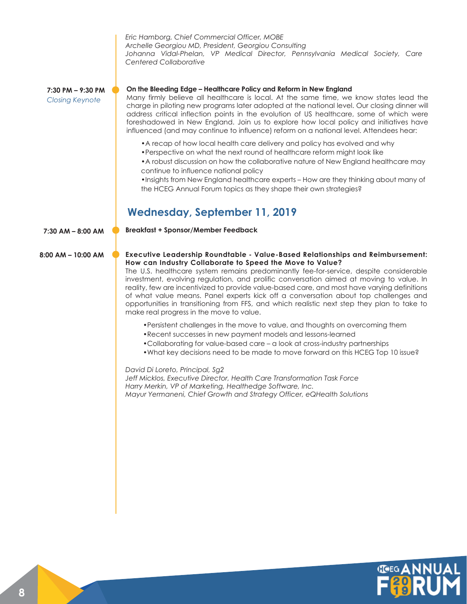*Eric Hamborg, Chief Commercial Officer, MOBE Archelle Georgiou MD, President, Georgiou Consulting Johanna Vidal-Phelan, VP Medical Director, Pennsylvania Medical Society, Care Centered Collaborative*

**7:30 PM – 9:30 PM** *Closing Keynote* 

#### **On the Bleeding Edge – Healthcare Policy and Reform in New England**

Many firmly believe all healthcare is local. At the same time, we know states lead the charge in piloting new programs later adopted at the national level. Our closing dinner will address critical inflection points in the evolution of US healthcare, some of which were foreshadowed in New England. Join us to explore how local policy and initiatives have influenced (and may continue to influence) reform on a national level. Attendees hear:

- •A recap of how local health care delivery and policy has evolved and why
- •Perspective on what the next round of healthcare reform might look like
- •A robust discussion on how the collaborative nature of New England healthcare may continue to influence national policy

•Insights from New England healthcare experts – How are they thinking about many of the HCEG Annual Forum topics as they shape their own strategies?

#### **Wednesday, September 11, 2019**

**7:30 AM – 8:00 AM Breakfast + Sponsor/Member Feedback**

#### **8:00 AM – 10:00 AM Executive Leadership Roundtable - Value-Based Relationships and Reimbursement: How can Industry Collaborate to Speed the Move to Value?**

The U.S. healthcare system remains predominantly fee-for-service, despite considerable investment, evolving regulation, and prolific conversation aimed at moving to value. In reality, few are incentivized to provide value-based care, and most have varying definitions of what value means. Panel experts kick off a conversation about top challenges and opportunities in transitioning from FFS, and which realistic next step they plan to take to make real progress in the move to value.

- •Persistent challenges in the move to value, and thoughts on overcoming them
- •Recent successes in new payment models and lessons-learned
- •Collaborating for value-based care a look at cross-industry partnerships
- •What key decisions need to be made to move forward on this HCEG Top 10 issue?

*David Di Loreto, Principal, Sg2 Jeff Micklos, Executive Director, Health Care Transformation Task Force Harry Merkin, VP of Marketing, Healthedge Software, Inc. Mayur Yermaneni, Chief Growth and Strategy Officer, eQHealth Solutions*

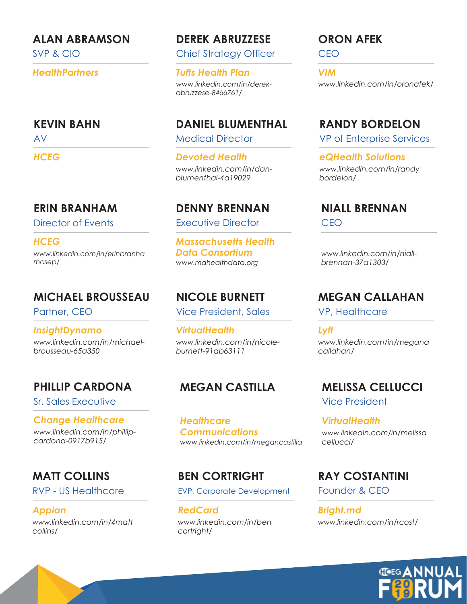#### **ALAN ABRAMSON**

SVP & CIO

*HealthPartners*

#### **KEVIN BAHN**

AV

*HCEG*

### **ERIN BRANHAM**

Director of Events

*HCEG www.linkedin.com/in/erinbranha mcsep/*

### **MICHAEL BROUSSEAU**

Partner, CEO

*www.linkedin.com/in/michaelbrousseau-65a350 InsightDynamo*

### **PHILLIP CARDONA**

Sr. Sales Executive

*Change Healthcare www.linkedin.com/in/phillipcardona-0917b915/*

### **MATT COLLINS**

RVP - US Healthcare

*Appian www.linkedin.com/in/4matt collins/*

### **DEREK ABRUZZESE**

Chief Strategy Officer

*Tufts Health Plan www.linkedin.com/in/derekabruzzese-8466761/*

### **DANIEL BLUMENTHAL**

Medical Director

*Devoted Health www.linkedin.com/in/danblumenthal-4a19029*

### **DENNY BRENNAN**

Executive Director

*Massachusetts Health Data Consortium www.mahealthdata.org*

### **NICOLE BURNETT**

Vice President, Sales

*VirtualHealth www.linkedin.com/in/nicoleburnett-91ab63111*

### **MEGAN CASTILLA**

*www.linkedin.com/in/megancastilla Healthcare Communications*

### **BEN CORTRIGHT**

EVP, Corporate Development

*RedCard www.linkedin.com/in/ben cortright/*

### **ORON AFEK**

CEO

*VIM www.linkedin.com/in/oronafek/*

### **RANDY BORDELON**

VP of Enterprise Services

*eQHealth Solutions www.linkedin.com/in/randy bordelon/*

#### **NIALL BRENNAN** CEO

*www.linkedin.com/in/niallbrennan-37a1303/*

### **MEGAN CALLAHAN**

VP, Healthcare

*Lyft www.linkedin.com/in/megana callahan/*

### **MELISSA CELLUCCI**

Vice President

*VirtualHealth www.linkedin.com/in/melissa cellucci/*

### **RAY COSTANTINI**

Founder & CEO

*Bright.md www.linkedin.com/in/rcost/*

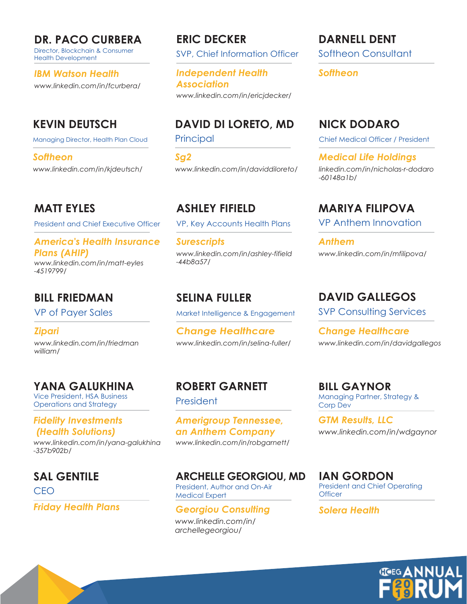**DR. PACO CURBERA**

Director, Blockchain & Consumer Health Development

*IBM Watson Health www.linkedin.com/in/fcurbera/*

### **KEVIN DEUTSCH**

Managing Director, Health Plan Cloud

*Softheon www.linkedin.com/in/kjdeutsch/*

**MATT EYLES**

President and Chief Executive Officer

#### *America's Health Insurance Plans (AHIP)*

*www.linkedin.com/in/matt-eyles -4519799/*

### **BILL FRIEDMAN**

VP of Payer Sales

*Zipari www.linkedin.com/in/friedman william/*

### **YANA GALUKHINA**

Vice President, HSA Business Operations and Strategy

#### *Fidelity Investments (Health Solutions)*

*www.linkedin.com/in/yana-galukhina -357b902b/*

### **SAL GENTILE**

**CEO** 

*Friday Health Plans*

**ERIC DECKER**

SVP, Chief Information Officer

*Independent Health Association www.linkedin.com/in/ericjdecker/*

### **DAVID DI LORETO, MD**

Principal

*Sg2 www.linkedin.com/in/daviddiloreto/*

**ASHLEY FIFIELD** VP, Key Accounts Health Plans

*Surescripts www.linkedin.com/in/ashley-fifield -44b8a57/*

### **SELINA FULLER**

Market Intelligence & Engagement

*Change Healthcare www.linkedin.com/in/selina-fuller/*

## **ROBERT GARNETT**

President

*Amerigroup Tennessee, an Anthem Company www.linkedin.com/in/robgarnett/*

President, Author and On-Air Medical Expert **ARCHELLE GEORGIOU, MD**

*Georgiou Consulting www.linkedin.com/in/ archellegeorgiou/*

Softheon Consultant **DARNELL DENT**

*Softheon*

### **NICK DODARO**

Chief Medical Officer / President

*Medical Life Holdings linkedin.com/in/nicholas-r-dodaro -60148a1b/*

**MARIYA FILIPOVA** VP Anthem Innovation

*Anthem www.linkedin.com/in/mfilipova/*

### **DAVID GALLEGOS**

SVP Consulting Services

*Change Healthcare www.linkedin.com/in/davidgallegos*

Managing Partner, Strategy & Corp Dev **BILL GAYNOR**

*www.linkedin.com/in/wdgaynor GTM Results, LLC*

President and Chief Operating **Officer IAN GORDON**

*Solera Health*

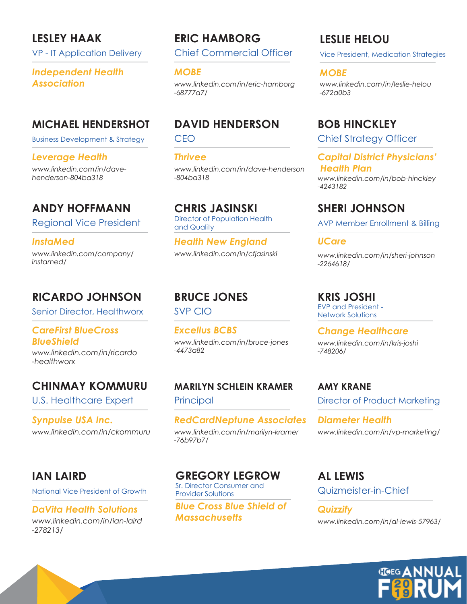### **LESLEY HAAK**

VP - IT Application Delivery

## *Independent Health*

### **MICHAEL HENDERSHOT**

Business Development & Strategy

#### *Leverage Health*

*www.linkedin.com/in/davehenderson-804ba318*

### **ANDY HOFFMANN**

Regional Vice President

*InstaMed www.linkedin.com/company/ instamed/*

### **RICARDO JOHNSON**

Senior Director, Healthworx

#### *CareFirst BlueCross BlueShield*

*www.linkedin.com/in/ricardo -healthworx*

### **CHINMAY KOMMURU**

U.S. Healthcare Expert

*Synpulse USA Inc. www.linkedin.com/in/ckommuru*

### **IAN LAIRD**

National Vice President of Growth

#### *DaVita Health Solutions www.linkedin.com/in/ian-laird*

*-278213/*

**ERIC HAMBORG**

Chief Commercial Officer

#### *MOBE*

*Association www.linkedin.com/in/eric-hamborg -68777a7/*

### **DAVID HENDERSON**

CEO

*Thrivee www.linkedin.com/in/dave-henderson -804ba318*

**CHRIS JASINSKI** Director of Population Health

and Quality

*Health New England www.linkedin.com/in/cfjasinski*

## **BRUCE JONES**

SVP CIO

*Excellus BCBS www.linkedin.com/in/bruce-jones -4473a82*

**MARILYN SCHLEIN KRAMER Principal** 

*RedCardNeptune Associates www.linkedin.com/in/marilyn-kramer -76b97b7/*

### **GREGORY LEGROW**

Sr. Director Consumer and Provider Solutions

*Blue Cross Blue Shield of Massachusetts*

### **LESLIE HELOU**

Vice President, Medication Strategies

#### *MOBE*

*www.linkedin.com/in/leslie-helou -672a0b3*

### **BOB HINCKLEY**

Chief Strategy Officer

*Capital District Physicians' Health Plan*

*www.linkedin.com/in/bob-hinckley -4243182*

### **SHERI JOHNSON**

AVP Member Enrollment & Billing

#### *UCare*

*www.linkedin.com/in/sheri-johnson -2264618/*

### **KRIS JOSHI**

EVP and President - Network Solutions

*Change Healthcare www.linkedin.com/in/kris-joshi -748206/*

**AMY KRANE** Director of Product Marketing

*Diameter Health www.linkedin.com/in/vp-marketing/*

Quizmeister-in-Chief **AL LEWIS**

*Quizzify www.linkedin.com/in/al-lewis-57963/*

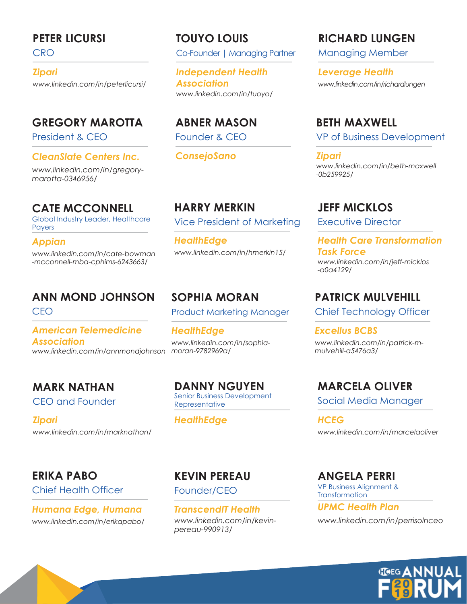### **PETER LICURSI**

**CRO** 

*Zipari www.linkedin.com/in/peterlicursi/*

### **GREGORY MAROTTA**

President & CEO

#### *CleanSlate Centers Inc.*

*www.linkedin.com/in/gregorymarotta-0346956/*

### **CATE MCCONNELL**

Global Industry Leader, Healthcare Payers

#### *Appian*

*www.linkedin.com/in/cate-bowman -mcconnell-mba-cphims-6243663/*

## **ANN MOND JOHNSON**

CEO

#### *moran-9782969a/ www.linkedin.com/in/annmondjohnson American Telemedicine Association*

## **MARK NATHAN**

CEO and Founder

*Zipari www.linkedin.com/in/marknathan/*

### **ERIKA PABO**

Chief Health Officer

*Humana Edge, Humana www.linkedin.com/in/erikapabo/*

### Co-Founder | Managing Partner **TOUYO LOUIS**

*Independent Health Association www.linkedin.com/in/tuoyo/*

**ABNER MASON** Founder & CEO

*ConsejoSano*

**HARRY MERKIN** Vice President of Marketing

*HealthEdge www.linkedin.com/in/hmerkin15/*

### **SOPHIA MORAN**

Product Marketing Manager

*HealthEdge www.linkedin.com/in/sophia-*

**DANNY NGUYEN** Senior Business Development **Representative** 

#### *HealthEdge*

### **KEVIN PEREAU**

Founder/CEO

*TranscendIT Health www.linkedin.com/in/kevinpereau-990913/*

### **RICHARD LUNGEN**

Managing Member

*Leverage Health www.linkedin.com/in/richardlungen*

### **BETH MAXWELL**

VP of Business Development

*Zipari www.linkedin.com/in/beth-maxwell -0b259925/*

### **JEFF MICKLOS**

Executive Director

*Health Care Transformation Task Force www.linkedin.com/in/jeff-micklos -a0a4129/*

### **PATRICK MULVEHILL**

Chief Technology Officer

*Excellus BCBS www.linkedin.com/in/patrick-mmulvehill-a5476a3/*

### **MARCELA OLIVER**

Social Media Manager

*HCEG www.linkedin.com/in/marcelaoliver*

VP Business Alignment & **Transformation ANGELA PERRI**

*UPMC Health Plan www.linkedin.com/in/perrisolnceo*

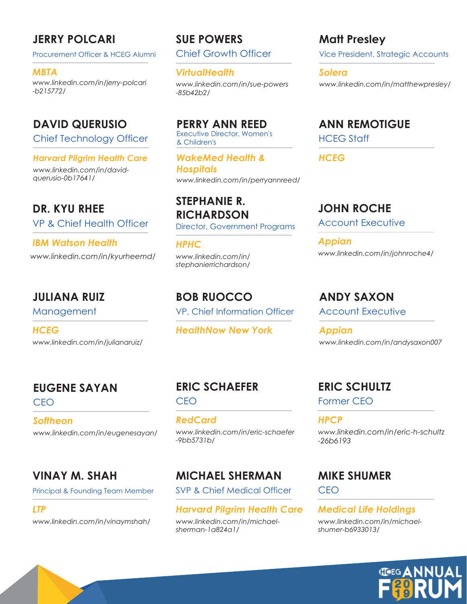### **JERRY POLCARI**

Procurement Officer & HCEG Alumni

*MBTA www.linkedin.com/in/jerry-polcari -b215772/*

### **DAVID QUERUSIO**

Chief Technology Officer

#### *Harvard Pilgrim Health Care*

*www.linkedin.com/in/davidquerusio-0b17641/*

VP & Chief Health Officer Account Executive **DR. KYU RHEE**

*IBM Watson Health www.linkedin.com/in/kyurheemd/*

### **JULIANA RUIZ**

Management

*HCEG www.linkedin.com/in/julianaruiz/*

### **EUGENE SAYAN**

CEO

*Softheon www.linkedin.com/in/eugenesayan/*

### **VINAY M. SHAH**

Principal & Founding Team Member

#### *LTP*

*www.linkedin.com/in/vinaymshah/*

## **SUE POWERS**

Chief Growth Officer

*VirtualHealth*

*www.linkedin.com/in/sue-powers -85b42b2/*

Executive Director, Women's & Children's **PERRY ANN REED**

*WakeMed Health & Hospitals www.linkedin.com/in/perryannreed/*

### **STEPHANIE R. RICHARDSON**

Director, Government Programs

*HPHC www.linkedin.com/in/ stephanierrichardson/*

**BOB RUOCCO** VP, Chief Information Officer

*HealthNow New York*

## CEO

**ERIC SCHAEFER**

*RedCard www.linkedin.com/in/eric-schaefer -9bb5731b/*

### **MICHAEL SHERMAN**

SVP & Chief Medical Officer

#### *Harvard Pilgrim Health Care*

*www.linkedin.com/in/michaelsherman-1a824a1/*

### Vice President, Strategic Accounts **Matt Presley**

*Solera www.linkedin.com/in/matthewpresley/*

HCEG Staff **ANN REMOTIGUE**

*HCEG*

### **JOHN ROCHE**

*Appian www.linkedin.com/in/johnroche4/*

### **ANDY SAXON**

Account Executive

*Appian www.linkedin.com/in/andysaxon007*

### **ERIC SCHULTZ**

Former CEO

*HPCP www.linkedin.com/in/eric-h-schultz -26b6193*

### **MIKE SHUMER**

CEO

#### *Medical Life Holdings www.linkedin.com/in/michaelshumer-b6933013/*

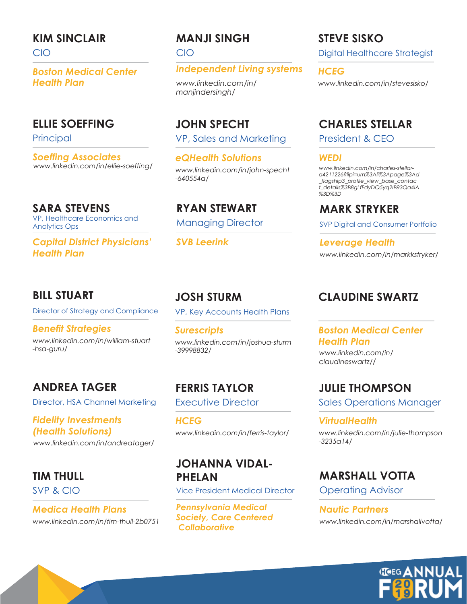### **KIM SINCLAIR**

CIO

*Boston Medical Center Health Plan*

#### **ELLIE SOEFFING**

**Principal** 

*Soeffing Associates www.linkedin.com/in/ellie-soeffing/*

VP, Healthcare Economics and Analytics Ops **SARA STEVENS**

*Capital District Physicians' Health Plan*

#### **BILL STUART**

Director of Strategy and Compliance

*Benefit Strategies www.linkedin.com/in/william-stuart -hsa-guru/*

### **ANDREA TAGER**

Director, HSA Channel Marketing

### *Fidelity Investments (Health Solutions)*

*www.linkedin.com/in/andreatager/*

### **TIM THULL**

SVP & CIO

*Medica Health Plans www.linkedin.com/in/tim-thull-2b0751*

### **MANJI SINGH**

CIO

*Independent Living systems*

*www.linkedin.com/in/ manjindersingh/*

VP, Sales and Marketing **JOHN SPECHT**

*eQHealth Solutions www.linkedin.com/in/john-specht -640554a/*

Managing Director **RYAN STEWART**

*SVB Leerink*

## **JOSH STURM**

VP, Key Accounts Health Plans

*Surescripts www.linkedin.com/in/joshua-sturm -39998832/*

**FERRIS TAYLOR** Executive Director

*HCEG www.linkedin.com/in/ferris-taylor/*

### **JOHANNA VIDAL-PHELAN**

Vice President Medical Director

*Pennsylvania Medical Society, Care Centered Collaborative*

### **STEVE SISKO**

Digital Healthcare Strategist

*HCEG www.linkedin.com/in/stevesisko/*

### **CHARLES STELLAR**

President & CEO

*WEDI*

*www.linkedin.com/in/charles-stellara4211226?lipi=urn%3Ali%3Apage%3Ad \_flagship3\_profile\_view\_base\_contac t\_details%3B8gLfFdyDQ5yq2IB93Qa4IA %3D%3D*

**MARK STRYKER** SVP Digital and Consumer Portfolio

*Leverage Health www.linkedin.com/in/markkstryker/*

### **CLAUDINE SWARTZ**

#### *Boston Medical Center Health Plan*

*www.linkedin.com/in/ claudineswartz//*

**JULIE THOMPSON** Sales Operations Manager

*VirtualHealth www.linkedin.com/in/julie-thompson -3235a14/*

### **MARSHALL VOTTA**

Operating Advisor

*Nautic Partners www.linkedin.com/in/marshallvotta/*